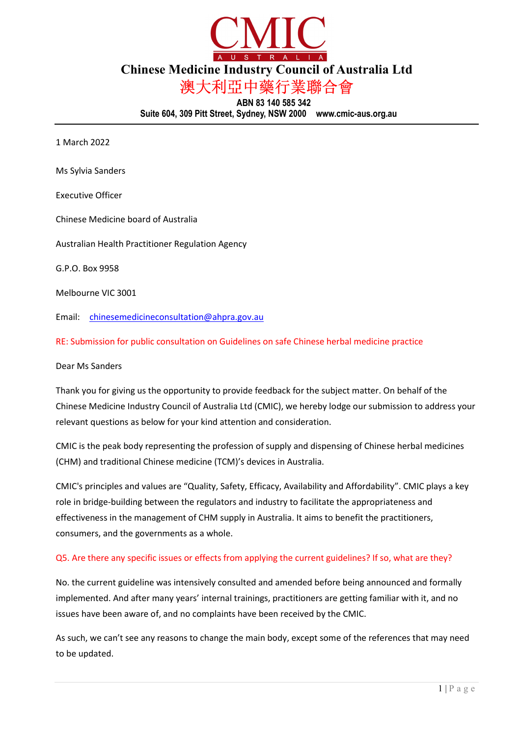

Chinese Medicine Industry Council of Australia Ltd

澳大利亞中藥行業聯合會

ABN 83 140 585 342 Suite 604, 309 Pitt Street, Sydney, NSW 2000 www.cmic-aus.org.au

1 March 2022

Ms Sylvia Sanders

Executive Officer

Chinese Medicine board of Australia

Australian Health Practitioner Regulation Agency

G.P.O. Box 9958

Melbourne VIC 3001

Email: chinesemedicineconsultation@ahpra.gov.au

RE: Submission for public consultation on Guidelines on safe Chinese herbal medicine practice

Dear Ms Sanders

Thank you for giving us the opportunity to provide feedback for the subject matter. On behalf of the Chinese Medicine Industry Council of Australia Ltd (CMIC), we hereby lodge our submission to address your relevant questions as below for your kind attention and consideration.

CMIC is the peak body representing the profession of supply and dispensing of Chinese herbal medicines (CHM) and traditional Chinese medicine (TCM)'s devices in Australia.

CMIC's principles and values are "Quality, Safety, Efficacy, Availability and Affordability". CMIC plays a key role in bridge-building between the regulators and industry to facilitate the appropriateness and effectiveness in the management of CHM supply in Australia. It aims to benefit the practitioners, consumers, and the governments as a whole.

## Q5. Are there any specific issues or effects from applying the current guidelines? If so, what are they?

No. the current guideline was intensively consulted and amended before being announced and formally implemented. And after many years' internal trainings, practitioners are getting familiar with it, and no issues have been aware of, and no complaints have been received by the CMIC.

As such, we can't see any reasons to change the main body, except some of the references that may need to be updated.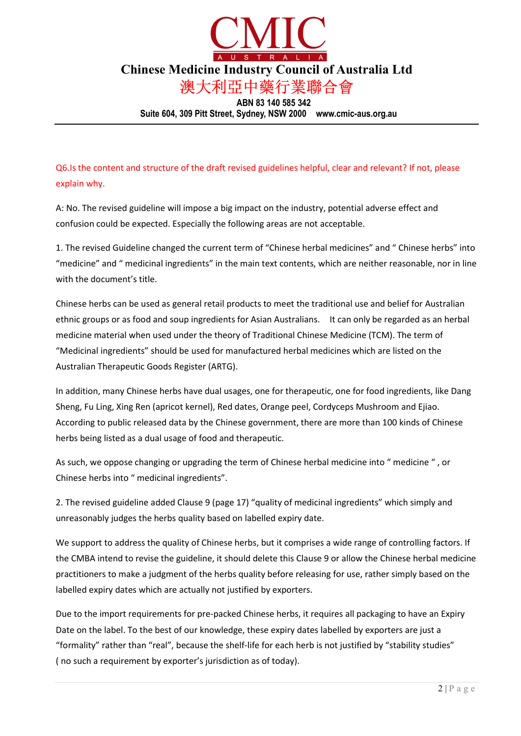

Suite 604, 309 Pitt Street, Sydney, NSW 2000 www.cmic-aus.org.au

Q6.Is the content and structure of the draft revised guidelines helpful, clear and relevant? If not, please explain why.

A: No. The revised guideline will impose a big impact on the industry, potential adverse effect and confusion could be expected. Especially the following areas are not acceptable.

1. The revised Guideline changed the current term of "Chinese herbal medicines" and " Chinese herbs" into "medicine" and " medicinal ingredients" in the main text contents, which are neither reasonable, nor in line with the document's title.

Chinese herbs can be used as general retail products to meet the traditional use and belief for Australian ethnic groups or as food and soup ingredients for Asian Australians. It can only be regarded as an herbal medicine material when used under the theory of Traditional Chinese Medicine (TCM). The term of "Medicinal ingredients" should be used for manufactured herbal medicines which are listed on the Australian Therapeutic Goods Register (ARTG).

In addition, many Chinese herbs have dual usages, one for therapeutic, one for food ingredients, like Dang Sheng, Fu Ling, Xing Ren (apricot kernel), Red dates, Orange peel, Cordyceps Mushroom and Ejiao. According to public released data by the Chinese government, there are more than 100 kinds of Chinese herbs being listed as a dual usage of food and therapeutic.

As such, we oppose changing or upgrading the term of Chinese herbal medicine into " medicine " , or Chinese herbs into " medicinal ingredients".

2. The revised guideline added Clause 9 (page 17) "quality of medicinal ingredients" which simply and unreasonably judges the herbs quality based on labelled expiry date.

We support to address the quality of Chinese herbs, but it comprises a wide range of controlling factors. If the CMBA intend to revise the guideline, it should delete this Clause 9 or allow the Chinese herbal medicine practitioners to make a judgment of the herbs quality before releasing for use, rather simply based on the labelled expiry dates which are actually not justified by exporters.

Due to the import requirements for pre-packed Chinese herbs, it requires all packaging to have an Expiry Date on the label. To the best of our knowledge, these expiry dates labelled by exporters are just a "formality" rather than "real", because the shelf-life for each herb is not justified by "stability studies" ( no such a requirement by exporter's jurisdiction as of today).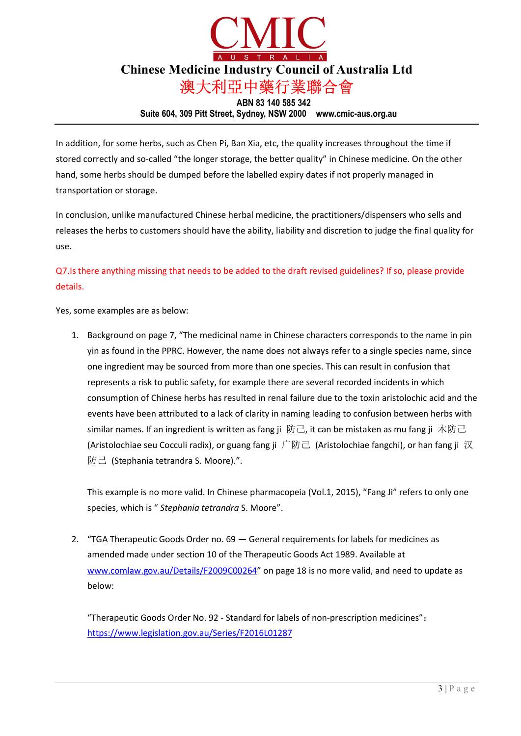

Suite 604, 309 Pitt Street, Sydney, NSW 2000 www.cmic-aus.org.au

In addition, for some herbs, such as Chen Pi, Ban Xia, etc, the quality increases throughout the time if stored correctly and so-called "the longer storage, the better quality" in Chinese medicine. On the other hand, some herbs should be dumped before the labelled expiry dates if not properly managed in transportation or storage.

In conclusion, unlike manufactured Chinese herbal medicine, the practitioners/dispensers who sells and releases the herbs to customers should have the ability, liability and discretion to judge the final quality for use.

Q7.Is there anything missing that needs to be added to the draft revised guidelines? If so, please provide details.

Yes, some examples are as below:

1. Background on page 7, "The medicinal name in Chinese characters corresponds to the name in pin yin as found in the PPRC. However, the name does not always refer to a single species name, since one ingredient may be sourced from more than one species. This can result in confusion that represents a risk to public safety, for example there are several recorded incidents in which consumption of Chinese herbs has resulted in renal failure due to the toxin aristolochic acid and the events have been attributed to a lack of clarity in naming leading to confusion between herbs with similar names. If an ingredient is written as fang ji 防己, it can be mistaken as mu fang ji 木防己 (Aristolochiae seu Cocculi radix), or guang fang ji 广防己 (Aristolochiae fangchi), or han fang ji 汉 防己 (Stephania tetrandra S. Moore).".

This example is no more valid. In Chinese pharmacopeia (Vol.1, 2015), "Fang Ji" refers to only one species, which is " Stephania tetrandra S. Moore".

2. "TGA Therapeutic Goods Order no. 69 — General requirements for labels for medicines as amended made under section 10 of the Therapeutic Goods Act 1989. Available at www.comlaw.gov.au/Details/F2009C00264" on page 18 is no more valid, and need to update as below:

"Therapeutic Goods Order No. 92 - Standard for labels of non-prescription medicines": https://www.legislation.gov.au/Series/F2016L01287